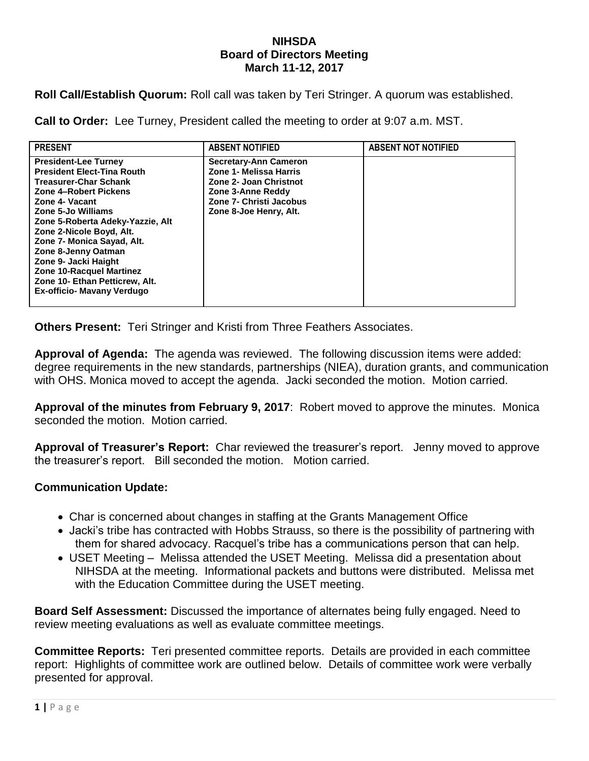## **NIHSDA Board of Directors Meeting March 11-12, 2017**

**Roll Call/Establish Quorum:** Roll call was taken by Teri Stringer. A quorum was established.

**Call to Order:** Lee Turney, President called the meeting to order at 9:07 a.m. MST.

| <b>PRESENT</b>                                                                                                                                                                                                                                                                                                                                                                                                    | <b>ABSENT NOTIFIED</b>                                                                                                                                     | <b>ABSENT NOT NOTIFIED</b> |
|-------------------------------------------------------------------------------------------------------------------------------------------------------------------------------------------------------------------------------------------------------------------------------------------------------------------------------------------------------------------------------------------------------------------|------------------------------------------------------------------------------------------------------------------------------------------------------------|----------------------------|
| <b>President-Lee Turney</b><br><b>President Elect-Tina Routh</b><br><b>Treasurer-Char Schank</b><br>Zone 4-Robert Pickens<br>Zone 4- Vacant<br>Zone 5-Jo Williams<br>Zone 5-Roberta Adeky-Yazzie, Alt<br>Zone 2-Nicole Boyd, Alt.<br>Zone 7- Monica Sayad, Alt.<br>Zone 8-Jenny Oatman<br>Zone 9- Jacki Haight<br>Zone 10-Racquel Martinez<br>Zone 10- Ethan Petticrew, Alt.<br><b>Ex-officio- Mavany Verdugo</b> | <b>Secretary-Ann Cameron</b><br>Zone 1- Melissa Harris<br>Zone 2- Joan Christnot<br>Zone 3-Anne Reddy<br>Zone 7- Christi Jacobus<br>Zone 8-Joe Henry, Alt. |                            |

**Others Present:** Teri Stringer and Kristi from Three Feathers Associates.

**Approval of Agenda:** The agenda was reviewed. The following discussion items were added: degree requirements in the new standards, partnerships (NIEA), duration grants, and communication with OHS. Monica moved to accept the agenda. Jacki seconded the motion. Motion carried.

**Approval of the minutes from February 9, 2017**: Robert moved to approve the minutes. Monica seconded the motion. Motion carried.

**Approval of Treasurer's Report:** Char reviewed the treasurer's report. Jenny moved to approve the treasurer's report. Bill seconded the motion. Motion carried.

## **Communication Update:**

- Char is concerned about changes in staffing at the Grants Management Office
- Jacki's tribe has contracted with Hobbs Strauss, so there is the possibility of partnering with them for shared advocacy. Racquel's tribe has a communications person that can help.
- USET Meeting Melissa attended the USET Meeting. Melissa did a presentation about NIHSDA at the meeting. Informational packets and buttons were distributed. Melissa met with the Education Committee during the USET meeting.

**Board Self Assessment:** Discussed the importance of alternates being fully engaged. Need to review meeting evaluations as well as evaluate committee meetings.

**Committee Reports:** Teri presented committee reports. Details are provided in each committee report: Highlights of committee work are outlined below. Details of committee work were verbally presented for approval.